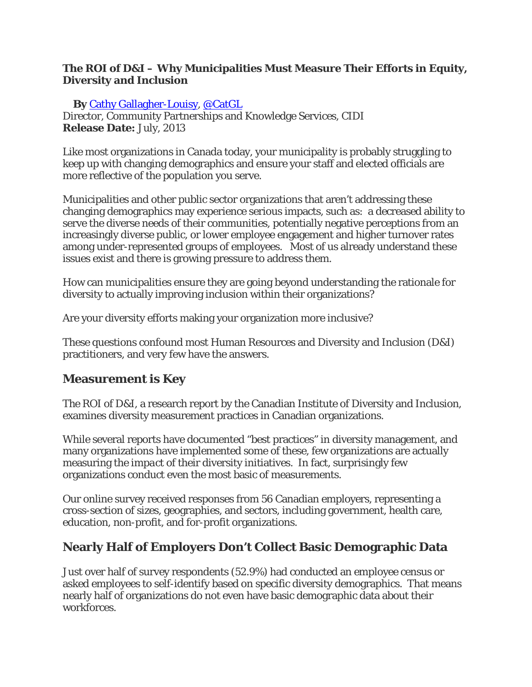#### **The ROI of D&I – Why Municipalities Must Measure Their Efforts in Equity, Diversity and Inclusion**

#### **By** [Cathy Gallagher-Louisy,](http://ccdi.ca/team-member/cathy-gallagher-louisy/) [@CatGL](https://twitter.com/CatGL)

Director, Community Partnerships and Knowledge Services, CIDI **Release Date:** July, 2013

Like most organizations in Canada today, your municipality is probably struggling to keep up with changing demographics and ensure your staff and elected officials are more reflective of the population you serve.

Municipalities and other public sector organizations that aren't addressing these changing demographics may experience serious impacts, such as: a decreased ability to serve the diverse needs of their communities, potentially negative perceptions from an increasingly diverse public, or lower employee engagement and higher turnover rates among under-represented groups of employees. Most of us already understand these issues exist and there is growing pressure to address them.

How can municipalities ensure they are going beyond understanding the rationale for diversity to actually improving inclusion within their organizations?

Are your diversity efforts making your organization more inclusive?

These questions confound most Human Resources and Diversity and Inclusion (D&I) practitioners, and very few have the answers.

## **Measurement is Key**

*The ROI of D&I*, a research report by the Canadian Institute of Diversity and Inclusion, examines diversity measurement practices in Canadian organizations.

While several reports have documented "best practices" in diversity management, and many organizations have implemented some of these, few organizations are actually measuring the *impact* of their diversity initiatives. In fact, surprisingly few organizations conduct even the most basic of measurements.

Our online survey received responses from 56 Canadian employers, representing a cross-section of sizes, geographies, and sectors, including government, health care, education, non-profit, and for-profit organizations.

## **Nearly Half of Employers Don't Collect Basic Demographic Data**

Just over half of survey respondents (52.9%) had conducted an employee census or asked employees to self-identify based on specific diversity demographics. That means nearly half of organizations do not even have basic demographic data about their workforces.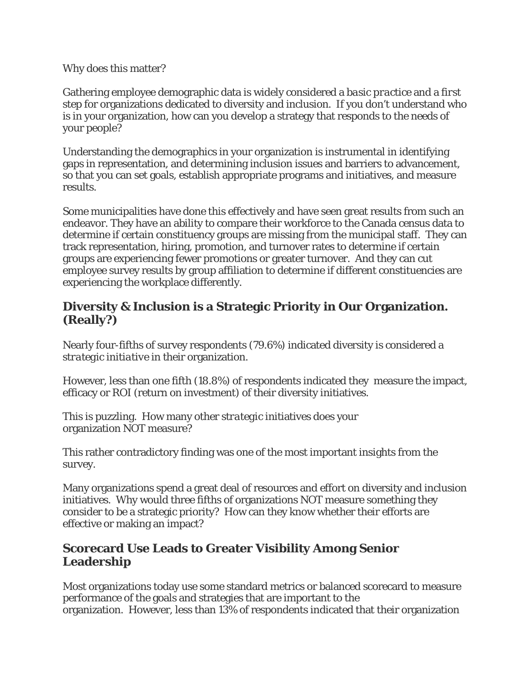Why does this matter?

Gathering employee demographic data is widely considered a *basic practice* and a *first step* for organizations dedicated to diversity and inclusion. If you don't understand who is in your organization, how can you develop a strategy that responds to the needs of your people?

Understanding the demographics in your organization is instrumental in identifying gaps in representation, and determining inclusion issues and barriers to advancement, so that you can set goals, establish appropriate programs and initiatives, and measure results.

Some municipalities have done this effectively and have seen great results from such an endeavor. They have an ability to compare their workforce to the Canada census data to determine if certain constituency groups are missing from the municipal staff. They can track representation, hiring, promotion, and turnover rates to determine if certain groups are experiencing fewer promotions or greater turnover. And they can cut employee survey results by group affiliation to determine if different constituencies are experiencing the workplace differently.

#### **Diversity & Inclusion is a Strategic Priority in Our Organization. (Really?)**

Nearly four-fifths of survey respondents (79.6%) indicated diversity is considered *a strategic initiative* in their organization.

However, less than one fifth (18.8%) of respondents indicated they measure the impact, efficacy or ROI (return on investment) of their diversity initiatives.

This is puzzling. How many other *strategic* initiatives does your organization *NOT* measure?

This rather contradictory finding was one of the most important insights from the survey.

Many organizations spend a great deal of resources and effort on diversity and inclusion initiatives. Why would three fifths of organizations NOT measure something they consider to be a strategic priority? How can they know whether their efforts are effective or making an impact?

## **Scorecard Use Leads to Greater Visibility Among Senior Leadership**

Most organizations today use some standard metrics or balanced scorecard to measure performance of the goals and strategies that are important to the organization. However, less than 13% of respondents indicated that their organization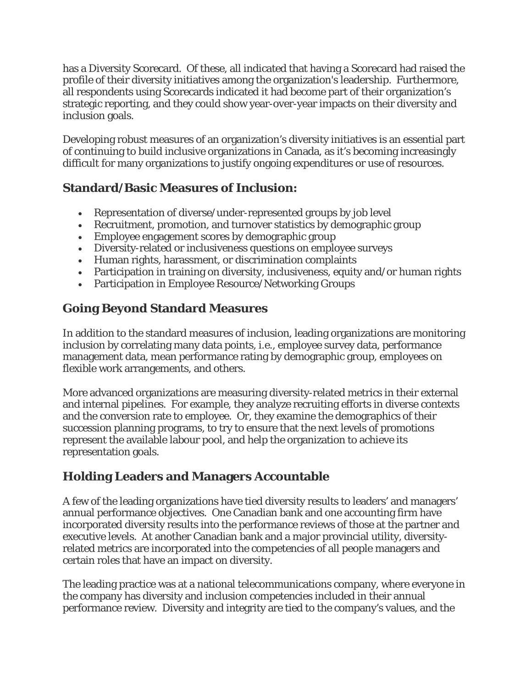has a Diversity Scorecard. Of these, all indicated that having a Scorecard had raised the profile of their diversity initiatives among the organization's leadership. Furthermore, all respondents using Scorecards indicated it had become part of their organization's strategic reporting, and they could show year-over-year impacts on their diversity and inclusion goals.

Developing robust measures of an organization's diversity initiatives is an essential part of continuing to build inclusive organizations in Canada, as it's becoming increasingly difficult for many organizations to justify ongoing expenditures or use of resources.

## **Standard/Basic Measures of Inclusion:**

- Representation of diverse/under-represented groups by job level
- Recruitment, promotion, and turnover statistics by demographic group
- Employee engagement scores by demographic group
- Diversity-related or inclusiveness questions on employee surveys
- Human rights, harassment, or discrimination complaints
- Participation in training on diversity, inclusiveness, equity and/or human rights
- Participation in Employee Resource/Networking Groups

## **Going Beyond Standard Measures**

In addition to the standard measures of inclusion, leading organizations are monitoring inclusion by correlating many data points, i.e., employee survey data, performance management data, mean performance rating by demographic group, employees on flexible work arrangements, and others.

More advanced organizations are measuring diversity-related metrics in their external and internal pipelines. For example, they analyze recruiting efforts in diverse contexts and the conversion rate to employee. Or, they examine the demographics of their succession planning programs, to try to ensure that the next levels of promotions represent the available labour pool, and help the organization to achieve its representation goals.

## **Holding Leaders and Managers Accountable**

A few of the leading organizations have tied diversity results to leaders' and managers' annual performance objectives. One Canadian bank and one accounting firm have incorporated diversity results into the performance reviews of those at the partner and executive levels. At another Canadian bank and a major provincial utility, diversityrelated metrics are incorporated into the competencies of all people managers and certain roles that have an impact on diversity.

The leading practice was at a national telecommunications company, where everyone in the company has diversity and inclusion competencies included in their annual performance review. Diversity and integrity are tied to the company's values, and the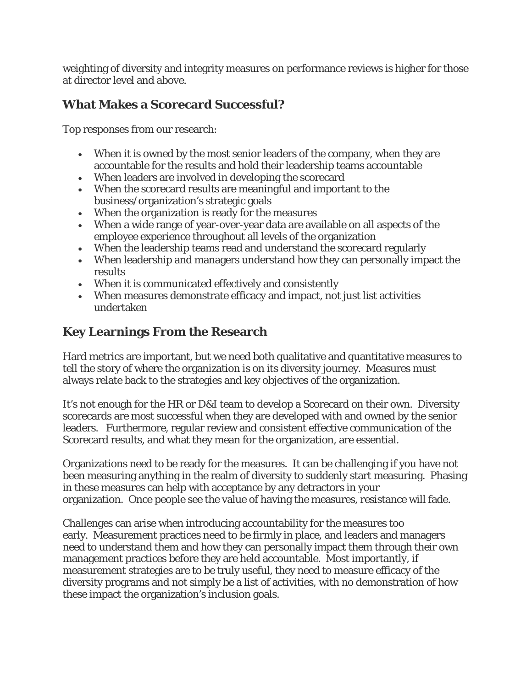weighting of diversity and integrity measures on performance reviews is higher for those at director level and above.

## **What Makes a Scorecard Successful?**

Top responses from our research:

- When it is owned by the most senior leaders of the company, when they are accountable for the results and hold their leadership teams accountable
- When leaders are involved in developing the scorecard
- When the scorecard results are meaningful and important to the business/organization's strategic goals
- When the organization is ready for the measures
- When a wide range of year-over-year data are available on all aspects of the employee experience throughout all levels of the organization
- When the leadership teams read and understand the scorecard regularly
- When leadership and managers understand how they can personally impact the results
- When it is communicated effectively and consistently
- When measures demonstrate efficacy and impact, not just list activities undertaken

# **Key Learnings From the Research**

Hard metrics are important, but we need both qualitative and quantitative measures to tell the story of where the organization is on its diversity journey. Measures must always relate back to the strategies and key objectives of the organization.

It's not enough for the HR or D&I team to develop a Scorecard on their own. Diversity scorecards are most successful when they are developed with and owned by the senior leaders. Furthermore, regular review and consistent effective communication of the Scorecard results, and what they mean for the organization, are essential.

Organizations need to be ready for the measures. It can be challenging if you have not been measuring anything in the realm of diversity to suddenly start measuring. Phasing in these measures can help with acceptance by any detractors in your organization. Once people see the value of having the measures, resistance will fade.

Challenges can arise when introducing accountability for the measures too early. Measurement practices need to be firmly in place, and leaders and managers need to understand them and how they can personally impact them through their own management practices before they are held accountable. Most importantly, if measurement strategies are to be truly useful, they need to measure efficacy of the diversity programs and not simply be a list of activities, with no demonstration of how these impact the organization's inclusion goals.